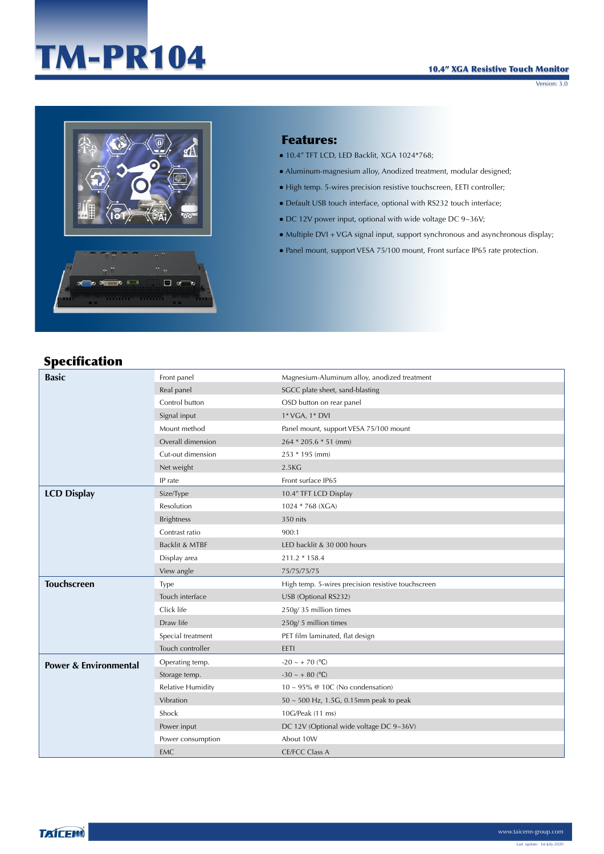## TM-PR104



## Features:

- $\bullet$  10.4" TFT LCD, LED Backlit, XGA 1024\*768;
- Aluminum-magnesium alloy, Anodized treatment, modular designed;
- High temp. 5-wires precision resistive touchscreen, EETI controller;
- Default USB touch interface, optional with RS232 touch interface;
- $\bullet$  DC 12V power input, optional with wide voltage DC 9~36V;
- Multiple DVI + VGA signal input, support synchronous and asynchronous display;
- Panel mount, support VESA 75/100 mount, Front surface IP65 rate protection.

## Specification

| <b>Basic</b>                     | Front panel              | Magnesium-Aluminum alloy, anodized treatment       |  |
|----------------------------------|--------------------------|----------------------------------------------------|--|
|                                  | Real panel               | SGCC plate sheet, sand-blasting                    |  |
|                                  | Control button           | OSD button on rear panel                           |  |
|                                  | Signal input             | 1* VGA, 1* DVI                                     |  |
|                                  | Mount method             | Panel mount, support VESA 75/100 mount             |  |
|                                  | Overall dimension        | $264 * 205.6 * 51$ (mm)                            |  |
|                                  | Cut-out dimension        | 253 * 195 (mm)                                     |  |
|                                  | Net weight               | 2.5 <sub>K</sub> G                                 |  |
|                                  | IP rate                  | Front surface IP65                                 |  |
| <b>LCD Display</b>               | Size/Type                | 10.4" TFT LCD Display                              |  |
|                                  | Resolution               | 1024 * 768 (XGA)                                   |  |
|                                  | <b>Brightness</b>        | 350 nits                                           |  |
|                                  | Contrast ratio           | 900:1                                              |  |
|                                  | Backlit & MTBF           | LED backlit & 30 000 hours                         |  |
|                                  | Display area             | 211.2 * 158.4                                      |  |
|                                  | View angle               | 75/75/75/75                                        |  |
| <b>Touchscreen</b>               | Type                     | High temp. 5-wires precision resistive touchscreen |  |
|                                  | Touch interface          | USB (Optional RS232)                               |  |
|                                  | Click life               | 250g/35 million times                              |  |
|                                  | Draw life                | 250g/5 million times                               |  |
|                                  | Special treatment        | PET film laminated, flat design                    |  |
|                                  | Touch controller         | EETI                                               |  |
| <b>Power &amp; Environmental</b> | Operating temp.          | $-20 - + 70$ (°C)                                  |  |
|                                  | Storage temp.            | $-30 \sim + 80$ (°C)                               |  |
|                                  | <b>Relative Humidity</b> | $10 \sim 95\%$ @ 10C (No condensation)             |  |
|                                  | Vibration                | $50 \sim 500$ Hz, 1.5G, 0.15mm peak to peak        |  |
|                                  | Shock                    | 10G/Peak (11 ms)                                   |  |
|                                  | Power input              | DC 12V (Optional wide voltage DC 9~36V)            |  |
|                                  | Power consumption        | About 10W                                          |  |
|                                  | <b>EMC</b>               | <b>CE/FCC Class A</b>                              |  |